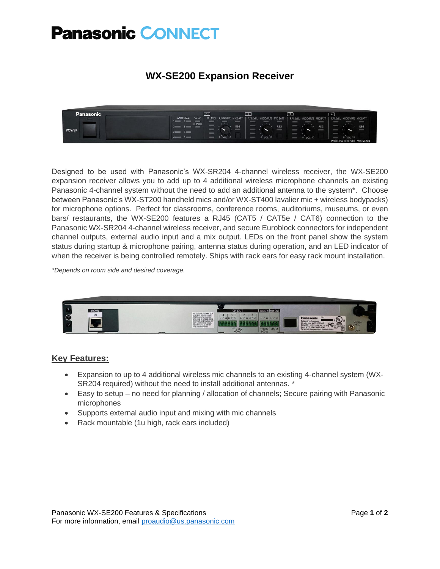## **Panasonic CONNECT**

## **WX-SE200 Expansion Receiver**



Designed to be used with Panasonic's WX-SR204 4-channel wireless receiver, the WX-SE200 expansion receiver allows you to add up to 4 additional wireless microphone channels an existing Panasonic 4-channel system without the need to add an additional antenna to the system\*. Choose between Panasonic's WX-ST200 handheld mics and/or WX-ST400 lavalier mic + wireless bodypacks) for microphone options. Perfect for classrooms, conference rooms, auditoriums, museums, or even bars/ restaurants, the WX-SE200 features a RJ45 (CAT5 / CAT5e / CAT6) connection to the Panasonic WX-SR204 4-channel wireless receiver, and secure Euroblock connectors for independent channel outputs, external audio input and a mix output. LEDs on the front panel show the system status during startup & microphone pairing, antenna status during operation, and an LED indicator of when the receiver is being controlled remotely. Ships with rack ears for easy rack mount installation.

*\*Depends on room side and desired coverage.*



#### **Key Features:**

- Expansion to up to 4 additional wireless mic channels to an existing 4-channel system (WX-SR204 required) without the need to install additional antennas. \*
- Easy to setup no need for planning / allocation of channels; Secure pairing with Panasonic microphones
- Supports external audio input and mixing with mic channels
- Rack mountable (1u high, rack ears included)